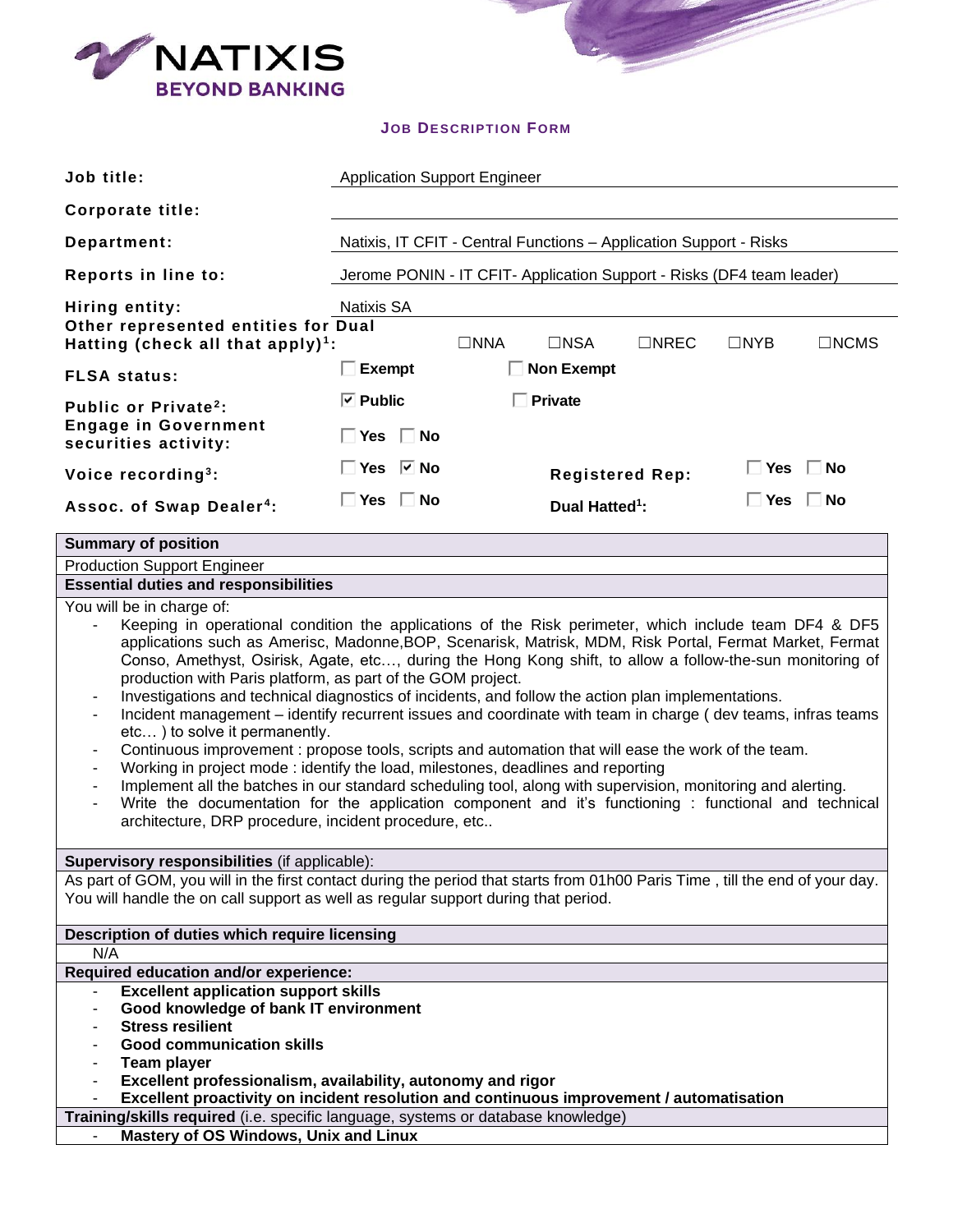

## **JOB DESCRIPTION FORM**

Ì

| Job title:                                                                                                                                                                                                                                                                                                                                                                                                                                                                                                                                                                                                                                                                                                                                                                                                                                                                                                                                                                                                                | <b>Application Support Engineer</b>                                   |                            |  |                      |
|---------------------------------------------------------------------------------------------------------------------------------------------------------------------------------------------------------------------------------------------------------------------------------------------------------------------------------------------------------------------------------------------------------------------------------------------------------------------------------------------------------------------------------------------------------------------------------------------------------------------------------------------------------------------------------------------------------------------------------------------------------------------------------------------------------------------------------------------------------------------------------------------------------------------------------------------------------------------------------------------------------------------------|-----------------------------------------------------------------------|----------------------------|--|----------------------|
| <b>Corporate title:</b>                                                                                                                                                                                                                                                                                                                                                                                                                                                                                                                                                                                                                                                                                                                                                                                                                                                                                                                                                                                                   |                                                                       |                            |  |                      |
| Department:                                                                                                                                                                                                                                                                                                                                                                                                                                                                                                                                                                                                                                                                                                                                                                                                                                                                                                                                                                                                               | Natixis, IT CFIT - Central Functions - Application Support - Risks    |                            |  |                      |
| Reports in line to:                                                                                                                                                                                                                                                                                                                                                                                                                                                                                                                                                                                                                                                                                                                                                                                                                                                                                                                                                                                                       | Jerome PONIN - IT CFIT- Application Support - Risks (DF4 team leader) |                            |  |                      |
| Hiring entity:<br>Natixis SA<br>Other represented entities for Dual<br>$\Box$ NSA<br>$\Box$ NREC<br>$\Box$ NYB<br>$\Box$ NCMS<br>$\square$ NNA<br>Hatting (check all that apply) <sup>1</sup> :                                                                                                                                                                                                                                                                                                                                                                                                                                                                                                                                                                                                                                                                                                                                                                                                                           |                                                                       |                            |  |                      |
| <b>FLSA status:</b>                                                                                                                                                                                                                                                                                                                                                                                                                                                                                                                                                                                                                                                                                                                                                                                                                                                                                                                                                                                                       | $\Box$ Exempt                                                         | <b>Non Exempt</b>          |  |                      |
| Public or Private <sup>2</sup> :<br><b>Engage in Government</b><br>securities activity:                                                                                                                                                                                                                                                                                                                                                                                                                                                                                                                                                                                                                                                                                                                                                                                                                                                                                                                                   | $\boxed{\triangledown}$ Public<br>$\Box$ Yes $\Box$ No                | $\Box$ Private             |  |                      |
| Voice recording <sup>3</sup> :                                                                                                                                                                                                                                                                                                                                                                                                                                                                                                                                                                                                                                                                                                                                                                                                                                                                                                                                                                                            | $\Box$ Yes $\Box$ No                                                  | <b>Registered Rep:</b>     |  | $\Box$ Yes $\Box$ No |
| Assoc. of Swap Dealer <sup>4</sup> :                                                                                                                                                                                                                                                                                                                                                                                                                                                                                                                                                                                                                                                                                                                                                                                                                                                                                                                                                                                      | $\Box$ Yes $\Box$ No                                                  | Dual Hatted <sup>1</sup> : |  | $\Box$ Yes $\Box$ No |
| <b>Summary of position</b>                                                                                                                                                                                                                                                                                                                                                                                                                                                                                                                                                                                                                                                                                                                                                                                                                                                                                                                                                                                                |                                                                       |                            |  |                      |
| <b>Production Support Engineer</b>                                                                                                                                                                                                                                                                                                                                                                                                                                                                                                                                                                                                                                                                                                                                                                                                                                                                                                                                                                                        |                                                                       |                            |  |                      |
| <b>Essential duties and responsibilities</b>                                                                                                                                                                                                                                                                                                                                                                                                                                                                                                                                                                                                                                                                                                                                                                                                                                                                                                                                                                              |                                                                       |                            |  |                      |
| applications such as Amerisc, Madonne, BOP, Scenarisk, Matrisk, MDM, Risk Portal, Fermat Market, Fermat<br>Conso, Amethyst, Osirisk, Agate, etc, during the Hong Kong shift, to allow a follow-the-sun monitoring of<br>production with Paris platform, as part of the GOM project.<br>Investigations and technical diagnostics of incidents, and follow the action plan implementations.<br>٠<br>Incident management – identify recurrent issues and coordinate with team in charge (dev teams, infras teams<br>etc) to solve it permanently.<br>Continuous improvement : propose tools, scripts and automation that will ease the work of the team.<br>Working in project mode : identify the load, milestones, deadlines and reporting<br>Implement all the batches in our standard scheduling tool, along with supervision, monitoring and alerting.<br>Write the documentation for the application component and it's functioning : functional and technical<br>architecture, DRP procedure, incident procedure, etc |                                                                       |                            |  |                      |
| Supervisory responsibilities (if applicable):                                                                                                                                                                                                                                                                                                                                                                                                                                                                                                                                                                                                                                                                                                                                                                                                                                                                                                                                                                             |                                                                       |                            |  |                      |
| As part of GOM, you will in the first contact during the period that starts from 01h00 Paris Time, till the end of your day.<br>You will handle the on call support as well as regular support during that period.                                                                                                                                                                                                                                                                                                                                                                                                                                                                                                                                                                                                                                                                                                                                                                                                        |                                                                       |                            |  |                      |
| Description of duties which require licensing                                                                                                                                                                                                                                                                                                                                                                                                                                                                                                                                                                                                                                                                                                                                                                                                                                                                                                                                                                             |                                                                       |                            |  |                      |
| N/A                                                                                                                                                                                                                                                                                                                                                                                                                                                                                                                                                                                                                                                                                                                                                                                                                                                                                                                                                                                                                       |                                                                       |                            |  |                      |
| Required education and/or experience:                                                                                                                                                                                                                                                                                                                                                                                                                                                                                                                                                                                                                                                                                                                                                                                                                                                                                                                                                                                     |                                                                       |                            |  |                      |
| <b>Excellent application support skills</b><br>Good knowledge of bank IT environment<br><b>Stress resilient</b><br><b>Good communication skills</b><br><b>Team player</b><br>$\overline{\phantom{a}}$                                                                                                                                                                                                                                                                                                                                                                                                                                                                                                                                                                                                                                                                                                                                                                                                                     |                                                                       |                            |  |                      |
| Excellent professionalism, availability, autonomy and rigor<br>$\overline{\phantom{a}}$<br>Excellent proactivity on incident resolution and continuous improvement / automatisation                                                                                                                                                                                                                                                                                                                                                                                                                                                                                                                                                                                                                                                                                                                                                                                                                                       |                                                                       |                            |  |                      |
| Training/skills required (i.e. specific language, systems or database knowledge)                                                                                                                                                                                                                                                                                                                                                                                                                                                                                                                                                                                                                                                                                                                                                                                                                                                                                                                                          |                                                                       |                            |  |                      |
| Mastery of OS Windows, Unix and Linux                                                                                                                                                                                                                                                                                                                                                                                                                                                                                                                                                                                                                                                                                                                                                                                                                                                                                                                                                                                     |                                                                       |                            |  |                      |